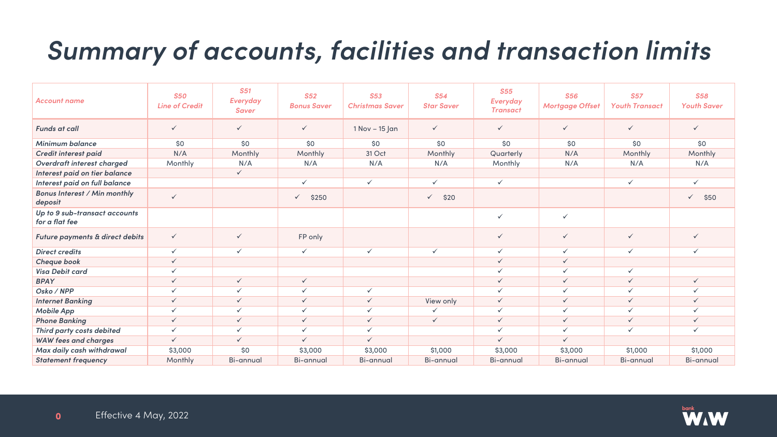## *Summary of accounts, facilities and transaction limits*



| <b>Account name</b>                             | <b>S50</b><br><b>Line of Credit</b> | <b>S51</b><br>Everyday<br><b>Saver</b> | <b>S52</b><br><b>Bonus Saver</b> | <b>S53</b><br><b>Christmas Saver</b> | <b>S54</b><br><b>Star Saver</b> | <b>S55</b><br><b>Everyday</b><br><b>Transact</b> | <b>S56</b><br><b>Mortgage Offset</b> | <b>S57</b><br><b>Youth Transact</b> | <b>S58</b><br><b>Youth Saver</b> |
|-------------------------------------------------|-------------------------------------|----------------------------------------|----------------------------------|--------------------------------------|---------------------------------|--------------------------------------------------|--------------------------------------|-------------------------------------|----------------------------------|
| <b>Funds at call</b>                            | $\checkmark$                        | $\checkmark$                           | $\checkmark$                     | 1 Nov - 15 Jan                       | $\checkmark$                    | $\checkmark$                                     | $\checkmark$                         | $\checkmark$                        | $\checkmark$                     |
| <b>Minimum balance</b>                          | \$0                                 | \$0                                    | \$0                              | \$0                                  | \$0                             | \$0                                              | \$0                                  | \$0                                 | \$0                              |
| Credit interest paid                            | N/A                                 | Monthly                                | Monthly                          | 31 Oct                               | Monthly                         | Quarterly                                        | N/A                                  | Monthly                             | Monthly                          |
| Overdraft interest charged                      | Monthly                             | N/A                                    | N/A                              | N/A                                  | N/A                             | Monthly                                          | N/A                                  | N/A                                 | N/A                              |
| Interest paid on tier balance                   |                                     | $\checkmark$                           |                                  |                                      |                                 |                                                  |                                      |                                     |                                  |
| Interest paid on full balance                   |                                     |                                        | $\checkmark$                     | $\checkmark$                         | $\checkmark$                    | $\checkmark$                                     |                                      | $\checkmark$                        | $\checkmark$                     |
| <b>Bonus Interest / Min monthly</b><br>deposit  | $\checkmark$                        |                                        | $\checkmark$<br>\$250            |                                      | $\checkmark$<br>\$20            |                                                  |                                      |                                     | $\checkmark$<br>\$50             |
| Up to 9 sub-transact accounts<br>for a flat fee |                                     |                                        |                                  |                                      |                                 | $\checkmark$                                     | $\checkmark$                         |                                     |                                  |
| Future payments & direct debits                 | $\checkmark$                        | $\checkmark$                           | FP only                          |                                      |                                 | ✓                                                | $\checkmark$                         | $\checkmark$                        | $\checkmark$                     |
| <b>Direct credits</b>                           | $\checkmark$                        | $\checkmark$                           | $\checkmark$                     | $\checkmark$                         | $\checkmark$                    | $\checkmark$                                     | $\checkmark$                         | $\checkmark$                        | $\checkmark$                     |
| Cheque book                                     | $\checkmark$                        |                                        |                                  |                                      |                                 | $\checkmark$                                     | $\checkmark$                         |                                     |                                  |
| <b>Visa Debit card</b>                          | $\checkmark$                        |                                        |                                  |                                      |                                 | $\checkmark$                                     | $\checkmark$                         | $\checkmark$                        |                                  |
| <b>BPAY</b>                                     | $\checkmark$                        | $\checkmark$                           | $\checkmark$                     |                                      |                                 | $\checkmark$                                     | $\sqrt{2}$                           | $\checkmark$                        | $\checkmark$                     |
| Osko / NPP                                      |                                     | $\checkmark$                           | $\checkmark$                     | $\checkmark$                         |                                 | $\checkmark$                                     | $\checkmark$                         | $\checkmark$                        | $\checkmark$                     |
| <b>Internet Banking</b>                         | $\checkmark$                        | $\checkmark$                           | $\checkmark$                     | $\checkmark$                         | View only                       | $\checkmark$                                     | $\checkmark$                         | $\checkmark$                        | $\checkmark$                     |
| <b>Mobile App</b>                               | $\checkmark$                        | $\checkmark$                           | $\checkmark$                     | $\checkmark$                         | $\checkmark$                    | $\checkmark$                                     | $\checkmark$                         | $\checkmark$                        | $\checkmark$                     |
| <b>Phone Banking</b>                            | $\checkmark$                        | $\checkmark$                           | $\checkmark$                     | $\checkmark$                         | $\checkmark$                    | $\checkmark$                                     | $\checkmark$                         | $\checkmark$                        | $\checkmark$                     |
| Third party costs debited                       | $\checkmark$                        | $\checkmark$                           | $\checkmark$                     | $\checkmark$                         |                                 | ✓                                                | $\checkmark$                         | $\checkmark$                        | $\checkmark$                     |
| <b>WAW fees and charges</b>                     | $\checkmark$                        | $\checkmark$                           | $\checkmark$                     | $\checkmark$                         |                                 | $\checkmark$                                     | $\checkmark$                         |                                     |                                  |
| Max daily cash withdrawal                       | \$3,000                             | \$0                                    | \$3,000                          | \$3,000                              | \$1,000                         | \$3,000                                          | \$3,000                              | \$1,000                             | \$1,000                          |
| <b>Statement frequency</b>                      | Monthly                             | Bi-annual                              | Bi-annual                        | Bi-annual                            | Bi-annual                       | Bi-annual                                        | Bi-annual                            | Bi-annual                           | <b>Bi-annual</b>                 |